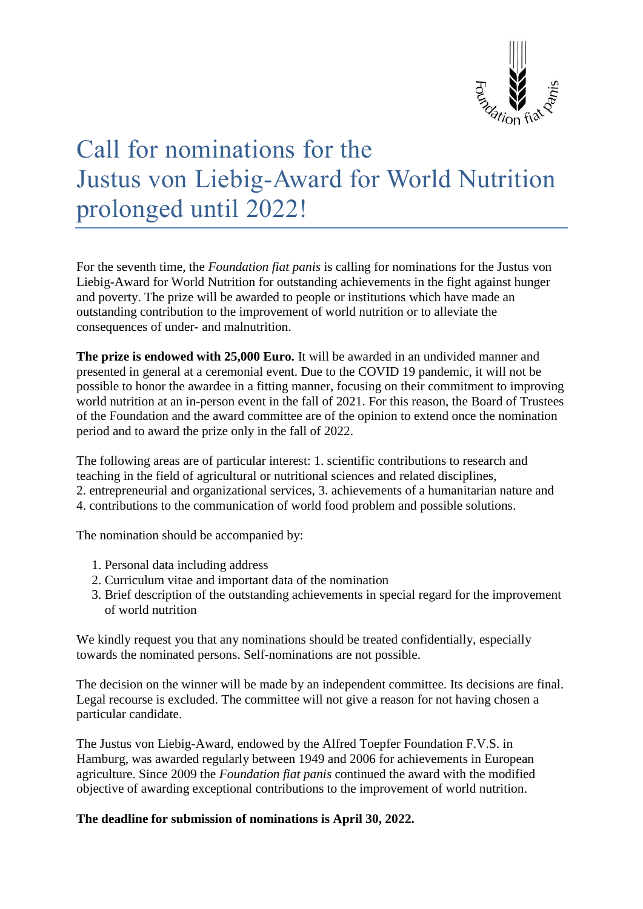

## Call for nominations for the Justus von Liebig-Award for World Nutrition prolonged until 2022!

For the seventh time, the *Foundation fiat panis* is calling for nominations for the Justus von Liebig-Award for World Nutrition for outstanding achievements in the fight against hunger and poverty. The prize will be awarded to people or institutions which have made an outstanding contribution to the improvement of world nutrition or to alleviate the consequences of under- and malnutrition.

**The prize is endowed with 25,000 Euro.** It will be awarded in an undivided manner and presented in general at a ceremonial event. Due to the COVID 19 pandemic, it will not be possible to honor the awardee in a fitting manner, focusing on their commitment to improving world nutrition at an in-person event in the fall of 2021. For this reason, the Board of Trustees of the Foundation and the award committee are of the opinion to extend once the nomination period and to award the prize only in the fall of 2022.

The following areas are of particular interest: 1. scientific contributions to research and teaching in the field of agricultural or nutritional sciences and related disciplines,

- 2. entrepreneurial and organizational services, 3. achievements of a humanitarian nature and
- 4. contributions to the communication of world food problem and possible solutions.

The nomination should be accompanied by:

- 1. Personal data including address
- 2. Curriculum vitae and important data of the nomination
- 3. Brief description of the outstanding achievements in special regard for the improvement of world nutrition

We kindly request you that any nominations should be treated confidentially, especially towards the nominated persons. Self-nominations are not possible.

The decision on the winner will be made by an independent committee. Its decisions are final. Legal recourse is excluded. The committee will not give a reason for not having chosen a particular candidate.

The Justus von Liebig-Award, endowed by the Alfred Toepfer Foundation F.V.S. in Hamburg, was awarded regularly between 1949 and 2006 for achievements in European agriculture. Since 2009 the *Foundation fiat panis* continued the award with the modified objective of awarding exceptional contributions to the improvement of world nutrition.

**The deadline for submission of nominations is April 30, 2022.**